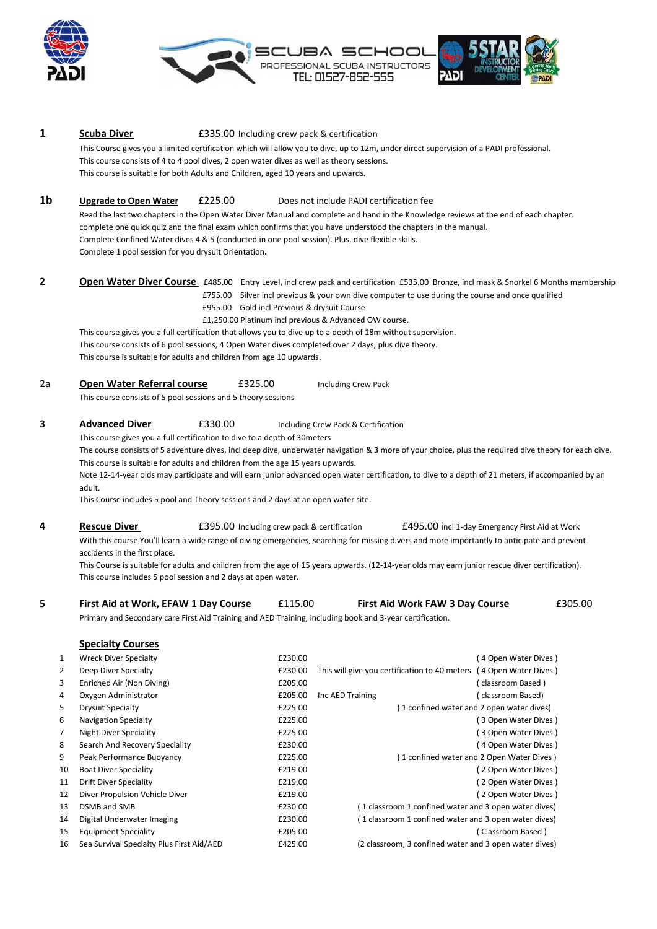



# **1 Scuba Diver 1 E335.00** Including crew pack & certification This Course gives you a limited certification which will allow you to dive, up to 12m, under direct supervision of a PADI professional. This course consists of 4 to 4 pool dives, 2 open water dives as well as theory sessions. This course is suitable for both Adults and Children, aged 10 years and upwards.

## **1b Upgrade to Open Water** £225.00 Does not include PADI certification fee

Read the last two chapters in the Open Water Diver Manual and complete and hand in the Knowledge reviews at the end of each chapter. complete one quick quiz and the final exam which confirms that you have understood the chapters in the manual. Complete Confined Water dives 4 & 5 (conducted in one pool session). Plus, dive flexible skills. Complete 1 pool session for you drysuit Orientation**.**

**2 Open Water Diver Course** £485.00 Entry Level, incl crew pack and certification £535.00 Bronze, incl mask & Snorkel 6 Months membership £755.00 Silver incl previous & your own dive computer to use during the course and once qualified

£955.00 Gold incl Previous & drysuit Course

 £1,250.00 Platinum incl previous & Advanced OW course. This course gives you a full certification that allows you to dive up to a depth of 18m without supervision. This course consists of 6 pool sessions, 4 Open Water dives completed over 2 days, plus dive theory. This course is suitable for adults and children from age 10 upwards.

| 2a | <b>Open Water Referral course</b> | £325.00 | <b>Including Crew Pack</b> |
|----|-----------------------------------|---------|----------------------------|
|----|-----------------------------------|---------|----------------------------|

This course consists of 5 pool sessions and 5 theory sessions

## **3 Advanced Diver £330.00** Including Crew Pack & Certification

This course gives you a full certification to dive to a depth of 30meters

The course consists of 5 adventure dives, incl deep dive, underwater navigation & 3 more of your choice, plus the required dive theory for each dive. This course is suitable for adults and children from the age 15 years upwards.

Note 12-14-year olds may participate and will earn junior advanced open water certification, to dive to a depth of 21 meters, if accompanied by an adult.

This Course includes 5 pool and Theory sessions and 2 days at an open water site.

**4 Rescue Diver E395.00** Including crew pack & certification **E495.00** incl 1-day Emergency First Aid at Work With this course You'll learn a wide range of diving emergencies, searching for missing divers and more importantly to anticipate and prevent accidents in the first place.

This Course is suitable for adults and children from the age of 15 years upwards. (12-14-year olds may earn junior rescue diver certification). This course includes 5 pool session and 2 days at open water.

# **5 First Aid at Work, EFAW 1 Day Course** £115.00 **First Aid Work FAW 3 Day Course** £305.00

Primary and Secondary care First Aid Training and AED Training, including book and 3-year certification.

**Specialty Courses** 1 Wreck Diver Specialty **2008** (4 Open Water Dives ) Reckyle and Mater Dives in the EQSO.00 2 Deep Diver Specialty **2000** E230.00 This will give you certification to 40 meters (4 Open Water Dives ) 3 Enriched Air (Non Diving) £205.00 ( classroom Based ) 4 Oxygen Administrator £205.00 Inc AED Training ( classroom Based) 5 Drysuit Specialty £225.00 ( 1 confined water and 2 open water dives) 6 Navigation Specialty £225.00 ( 3 Open Water Dives ) 7 Night Diver Speciality **E225.00** (3 Open Water Dives ) 8 Search And Recovery Speciality **EXALL EXACTS** E230.00 **COVERS** EXACTS EXACTS (4 Open Water Dives ) 9 Peak Performance Buoyancy £225.00 ( 1 confined water and 2 Open Water Dives ) 10 Boat Diver Speciality £219.00 ( 2 Open Water Dives ) 11 Drift Diver Speciality **E219.00** (2 Open Water Dives ) 12 Diver Propulsion Vehicle Diver £219.00 ( 2 Open Water Dives ) 13 DSMB and SMB £230.00 ( 1 classroom 1 confined water and 3 open water dives) 14 Digital Underwater Imaging £230.00 ( 1 classroom 1 confined water and 3 open water dives) 15 Equipment Speciality £205.00 ( Classroom Based ) 16 Sea Survival Specialty Plus First Aid/AED £425.00 (2 classroom, 3 confined water and 3 open water dives)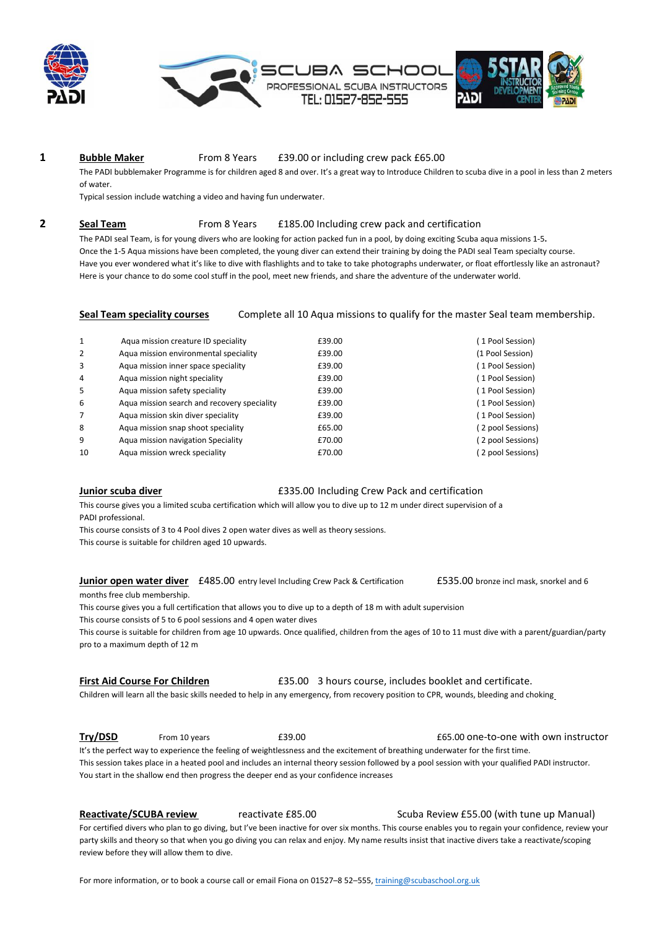



### **1 Bubble Maker** From 8 Years £39.00 or including crew pack £65.00

The PADI bubblemaker Programme is for children aged 8 and over. It's a great way to Introduce Children to scuba dive in a pool in less than 2 meters of water.

Typical session include watching a video and having fun underwater.

# **2 Seal Team** From 8 Years £185.00 Including crew pack and certification

The PADI seal Team, is for young divers who are looking for action packed fun in a pool, by doing exciting Scuba aqua missions 1-5**.** Once the 1-5 Aqua missions have been completed, the young diver can extend their training by doing the PADI seal Team specialty course. Have you ever wondered what it's like to dive with flashlights and to take to take photographs underwater, or float effortlessly like an astronaut? Here is your chance to do some cool stuff in the pool, meet new friends, and share the adventure of the underwater world.

**Seal Team speciality courses** Complete all 10 Aqua missions to qualify for the master Seal team membership.

| 1              | Agua mission creature ID speciality         | £39.00 | 1 Pool Session)   |
|----------------|---------------------------------------------|--------|-------------------|
| 2              | Agua mission environmental speciality       | £39.00 | (1 Pool Session)  |
| 3              | Aqua mission inner space speciality         | £39.00 | (1 Pool Session)  |
| 4              | Agua mission night speciality               | £39.00 | (1 Pool Session)  |
| 5              | Agua mission safety speciality              | £39.00 | (1 Pool Session)  |
| 6              | Agua mission search and recovery speciality | £39.00 | (1 Pool Session)  |
| $\overline{7}$ | Agua mission skin diver speciality          | £39.00 | (1 Pool Session)  |
| 8              | Agua mission snap shoot speciality          | £65.00 | (2 pool Sessions) |
| 9              | Aqua mission navigation Speciality          | £70.00 | (2 pool Sessions) |
| 10             | Agua mission wreck speciality               | £70.00 | 2 pool Sessions)  |
|                |                                             |        |                   |

**Junior scuba diver E335.00 Including Crew Pack and certification** 

This course gives you a limited scuba certification which will allow you to dive up to 12 m under direct supervision of a PADI professional.

This course consists of 3 to 4 Pool dives 2 open water dives as well as theory sessions.

This course is suitable for children aged 10 upwards.

**Junior open water diver** £485.00 entry level Including Crew Pack & Certification £535.00 bronze incl mask, snorkel and 6

months free club membership.

This course gives you a full certification that allows you to dive up to a depth of 18 m with adult supervision

This course consists of 5 to 6 pool sessions and 4 open water dives

This course is suitable for children from age 10 upwards. Once qualified, children from the ages of 10 to 11 must dive with a parent/guardian/party pro to a maximum depth of 12 m

| <b>First Aid Course For Children</b> |  | £35.00 3 hours course, includes booklet and certificate. |  |  |
|--------------------------------------|--|----------------------------------------------------------|--|--|
|--------------------------------------|--|----------------------------------------------------------|--|--|

Children will learn all the basic skills needed to help in any emergency, from recovery position to CPR, wounds, bleeding and choking

**Try/DSD** From 10 years **E39.00 Example 10** and **E65.00** one-to-one with own instructor It's the perfect way to experience the feeling of weightlessness and the excitement of breathing underwater for the first time. This session takes place in a heated pool and includes an internal theory session followed by a pool session with your qualified PADI instructor. You start in the shallow end then progress the deeper end as your confidence increases

**Reactivate/SCUBA review** reactivate £85.00 Scuba Review £55.00 (with tune up Manual) For certified divers who plan to go diving, but I've been inactive for over six months. This course enables you to regain your confidence, review your party skills and theory so that when you go diving you can relax and enjoy. My name results insist that inactive divers take a reactivate/scoping review before they will allow them to dive.

For more information, or to book a course call or email Fiona on 01527-8 52-555[, training@scubaschool.org.uk](mailto:training@scubaschool.org.uk)